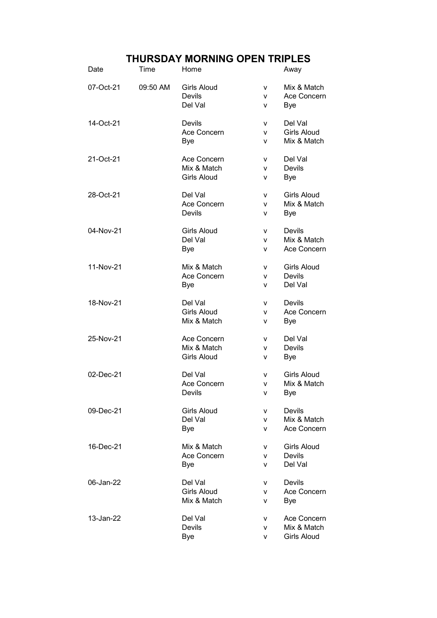## THURSDAY MORNING OPEN TRIPLES

| Date      | Time     | Home                                             |             | Away                                             |
|-----------|----------|--------------------------------------------------|-------------|--------------------------------------------------|
| 07-Oct-21 | 09:50 AM | <b>Girls Aloud</b><br>Devils<br>Del Val          | v<br>v<br>v | Mix & Match<br>Ace Concern<br>Bye                |
| 14-Oct-21 |          | Devils<br>Ace Concern<br>Bye                     | v<br>v<br>v | Del Val<br><b>Girls Aloud</b><br>Mix & Match     |
| 21-Oct-21 |          | Ace Concern<br>Mix & Match<br><b>Girls Aloud</b> | v<br>v<br>v | Del Val<br>Devils<br><b>Bye</b>                  |
| 28-Oct-21 |          | Del Val<br>Ace Concern<br>Devils                 | v<br>v<br>v | Girls Aloud<br>Mix & Match<br>Bye                |
| 04-Nov-21 |          | <b>Girls Aloud</b><br>Del Val<br><b>Bye</b>      | v<br>v<br>v | Devils<br>Mix & Match<br>Ace Concern             |
| 11-Nov-21 |          | Mix & Match<br>Ace Concern<br><b>Bye</b>         | v<br>v<br>v | Girls Aloud<br><b>Devils</b><br>Del Val          |
| 18-Nov-21 |          | Del Val<br><b>Girls Aloud</b><br>Mix & Match     | v<br>v<br>v | Devils<br>Ace Concern<br><b>Bye</b>              |
| 25-Nov-21 |          | Ace Concern<br>Mix & Match<br><b>Girls Aloud</b> | v<br>v<br>۷ | Del Val<br><b>Devils</b><br><b>Bye</b>           |
| 02-Dec-21 |          | Del Val<br>Ace Concern<br>Devils                 | v<br>v<br>V | <b>Girls Aloud</b><br>Mix & Match<br>Bye         |
| 09-Dec-21 |          | <b>Girls Aloud</b><br>Del Val<br><b>Bye</b>      | v<br>v<br>v | Devils<br>Mix & Match<br>Ace Concern             |
| 16-Dec-21 |          | Mix & Match<br>Ace Concern<br><b>Bye</b>         | v<br>v<br>v | <b>Girls Aloud</b><br>Devils<br>Del Val          |
| 06-Jan-22 |          | Del Val<br><b>Girls Aloud</b><br>Mix & Match     | v<br>v<br>v | Devils<br>Ace Concern<br>Bye                     |
| 13-Jan-22 |          | Del Val<br>Devils<br><b>Bye</b>                  | v<br>v<br>v | Ace Concern<br>Mix & Match<br><b>Girls Aloud</b> |